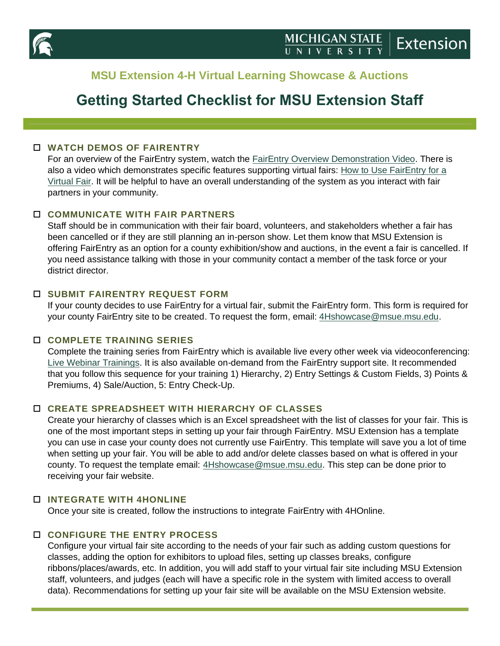

## **MSU Extension 4-H Virtual Learning Showcase & Auctions**

# **Getting Started Checklist for MSU Extension Staff**

## **WATCH DEMOS OF FAIRENTRY**

For an overview of the FairEntry system, watch the [FairEntry Overview](https://vimeo.com/219911087/b05d9142e5) Demonstration Video. There is also a video which demonstrates specific features supporting virtual fairs: [How to Use FairEntry for a](https://fairentry.zendesk.com/hc/en-us/articles/360046796373-Virtual-Fair-Training-Video-Updated-5-27-20-)  [Virtual Fair.](https://fairentry.zendesk.com/hc/en-us/articles/360046796373-Virtual-Fair-Training-Video-Updated-5-27-20-) It will be helpful to have an overall understanding of the system as you interact with fair partners in your community.

## **COMMUNICATE WITH FAIR PARTNERS**

Staff should be in communication with their fair board, volunteers, and stakeholders whether a fair has been cancelled or if they are still planning an in-person show. Let them know that MSU Extension is offering FairEntry as an option for a county exhibition/show and auctions, in the event a fair is cancelled. If you need assistance talking with those in your community contact a member of the task force or your district director.

#### **SUBMIT FAIRENTRY REQUEST FORM**

If your county decides to use FairEntry for a virtual fair, submit the FairEntry form. This form is required for your county FairEntry site to be created. To request the form, email: [4Hshowcase@msue.msu.edu.](mailto:4Hshowcase@msue.msu.edu)

#### **COMPLETE TRAINING SERIES**

Complete the training series from FairEntry which is available live every other week via videoconferencing: [Live Webinar Trainings.](https://fairentry.zendesk.com/hc/en-us/articles/360009689393-Training-Outline-and-Registration) It is also available on-demand from the FairEntry support site. It recommended that you follow this sequence for your training 1) Hierarchy, 2) Entry Settings & Custom Fields, 3) Points & Premiums, 4) Sale/Auction, 5: Entry Check-Up.

## **CREATE SPREADSHEET WITH HIERARCHY OF CLASSES**

Create your hierarchy of classes which is an Excel spreadsheet with the list of classes for your fair. This is one of the most important steps in setting up your fair through FairEntry. MSU Extension has a template you can use in case your county does not currently use FairEntry. This template will save you a lot of time when setting up your fair. You will be able to add and/or delete classes based on what is offered in your county. To request the template email: [4Hshowcase@msue.msu.edu.](mailto:4Hshowcase@msue.msu.edu) This step can be done prior to receiving your fair website.

#### **INTEGRATE WITH 4HONLINE**

Once your site is created, follow the instructions to integrate FairEntry with 4HOnline.

## **CONFIGURE THE ENTRY PROCESS**

Configure your virtual fair site according to the needs of your fair such as adding custom questions for classes, adding the option for exhibitors to upload files, setting up classes breaks, configure ribbons/places/awards, etc. In addition, you will add staff to your virtual fair site including MSU Extension staff, volunteers, and judges (each will have a specific role in the system with limited access to overall data). Recommendations for setting up your fair site will be available on the MSU Extension website.